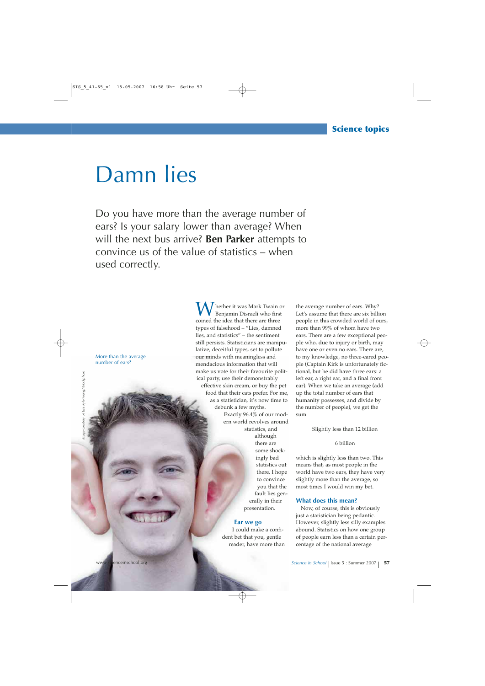# Damn lies

Do you have more than the average number of ears? Is your salary lower than average? When will the next bus arrive? **Ben Parker** attempts to convince us of the value of statistics – when used correctly.

More than the average number of ears?

hether it was Mark Twain or Benjamin Disraeli who first coined the idea that there are three types of falsehood – "Lies, damned lies, and statistics" – the sentiment still persists. Statisticians are manipulative, deceitful types, set to pollute our minds with meaningless and mendacious information that will make us vote for their favourite political party, use their demonstrably effective skin cream, or buy the pet food that their cats prefer. For me, as a statistician, it's now time to debunk a few myths. Exactly 96.4% of our modern world revolves around statistics, and although there are some shockingly bad statistics out there, I hope to convince you that the fault lies generally in their presentation. **Ear we go**

I could make a confident bet that you, gentle reader, have more than

the average number of ears. Why? Let's assume that there are six billion people in this crowded world of ours, more than 99% of whom have two ears. There are a few exceptional people who, due to injury or birth, may have one or even no ears. There are, to my knowledge, no three-eared people (Captain Kirk is unfortunately fictional, but he did have three ears: a left ear, a right ear, and a final front ear). When we take an average (add up the total number of ears that humanity possesses, and divide by the number of people), we get the sum

Slightly less than 12 billion

6 billion

which is slightly less than two. This means that, as most people in the world have two ears, they have very slightly more than the average, so most times I would win my bet.

# **What does this mean?**

Now, of course, this is obviously just a statistician being pedantic. However, slightly less silly examples abound. Statistics on how one group of people earn less than a certain percentage of the national average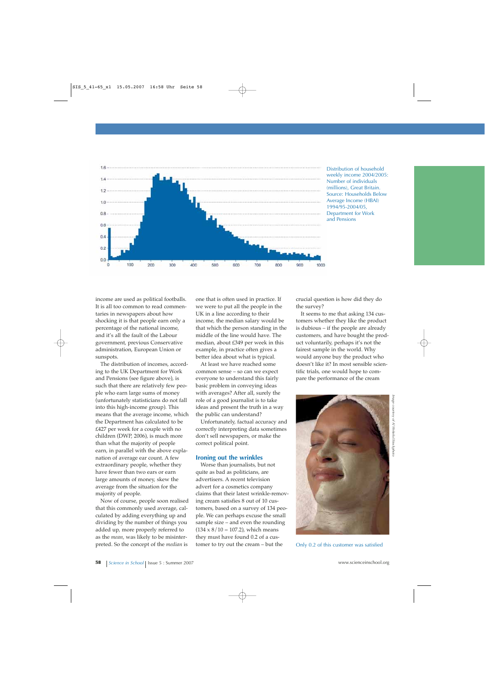

Distribution of household weekly income 2004/2005: Number of individuals (millions), Great Britain. Source: Households Below Average Income (HBAI) 1994/95-2004/05, Department for Work and Pensions

income are used as political footballs. It is all too common to read commentaries in newspapers about how shocking it is that people earn only a percentage of the national income, and it's all the fault of the Labour government, previous Conservative administration, European Union or sunspots.

The distribution of incomes, according to the UK Department for Work and Pensions (see figure above), is such that there are relatively few people who earn large sums of money (unfortunately statisticians do not fall into this high-income group). This means that the average income, which the Department has calculated to be £427 per week for a couple with no children (DWP, 2006), is much more than what the majority of people earn, in parallel with the above explanation of average ear count. A few extraordinary people, whether they have fewer than two ears or earn large amounts of money, skew the average from the situation for the majority of people.

Now of course, people soon realised that this commonly used average, calculated by adding everything up and dividing by the number of things you added up, more properly referred to as the *mean*, was likely to be misinterpreted. So the concept of the *median* is

one that is often used in practice. If we were to put all the people in the UK in a line according to their income, the median salary would be that which the person standing in the middle of the line would have. The median, about £349 per week in this example, in practice often gives a better idea about what is typical.

At least we have reached some common sense – so can we expect everyone to understand this fairly basic problem in conveying ideas with averages? After all, surely the role of a good journalist is to take ideas and present the truth in a way the public can understand?

Unfortunately, factual accuracy and correctly interpreting data sometimes don't sell newspapers, or make the correct political point.

# **Ironing out the wrinkles**

Worse than journalists, but not quite as bad as politicians, are advertisers. A recent television advert for a cosmetics company claims that their latest wrinkle-removing cream satisfies 8 out of 10 customers, based on a survey of 134 people. We can perhaps excuse the small sample size – and even the rounding  $(134 \times 8 / 10 = 107.2)$ , which means they must have found 0.2 of a customer to try out the cream – but the

crucial question is how did they do the survey?

It seems to me that asking 134 customers whether they like the product is dubious – if the people are already customers, and have bought the product voluntarily, perhaps it's not the fairest sample in the world. Why would anyone buy the product who doesn't like it? In most sensible scientific trials, one would hope to compare the performance of the cream



Only 0.2 of this customer was satisfied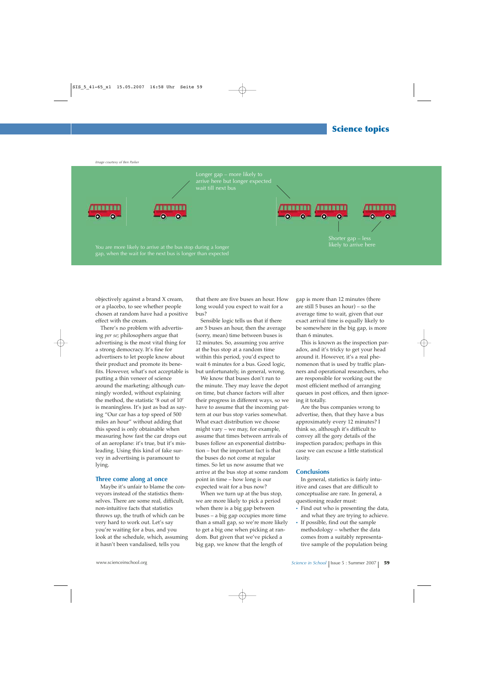*Image courtesy of Ben Parker*

Longer gap – more likely to arrive here but longer expected





You are more likely to arrive at the bus stop during a longer gap, when the wait for the next bus is longer than expected

Shorter gap – less

objectively against a brand X cream, or a placebo, to see whether people chosen at random have had a positive

effect with the cream. There's no problem with advertising *per se*; philosophers argue that advertising is the most vital thing for a strong democracy. It's fine for advertisers to let people know about their product and promote its benefits. However, what's not acceptable is putting a thin veneer of science around the marketing; although cunningly worded, without explaining the method, the statistic '8 out of 10' is meaningless. It's just as bad as saying "Our car has a top speed of 500 miles an hour" without adding that this speed is only obtainable when measuring how fast the car drops out of an aeroplane: it's true, but it's misleading. Using this kind of fake survey in advertising is paramount to lying.

### **Three come along at once**

Maybe it's unfair to blame the conveyors instead of the statistics themselves. There are some real, difficult, non-intuitive facts that statistics throws up, the truth of which can be very hard to work out. Let's say you're waiting for a bus, and you look at the schedule, which, assuming it hasn't been vandalised, tells you

that there are five buses an hour. How long would you expect to wait for a bus?

Sensible logic tells us that if there are 5 buses an hour, then the average (sorry, mean) time between buses is 12 minutes. So, assuming you arrive at the bus stop at a random time within this period, you'd expect to wait 6 minutes for a bus. Good logic, but unfortunately, in general, wrong.

We know that buses don't run to the minute. They may leave the depot on time, but chance factors will alter their progress in different ways, so we have to assume that the incoming pattern at our bus stop varies somewhat. What exact distribution we choose might vary – we may, for example, assume that times between arrivals of buses follow an exponential distribution – but the important fact is that the buses do not come at regular times. So let us now assume that we arrive at the bus stop at some random point in time – how long is our expected wait for a bus now?

When we turn up at the bus stop, we are more likely to pick a period when there is a big gap between buses – a big gap occupies more time than a small gap, so we're more likely to get a big one when picking at random. But given that we've picked a big gap, we know that the length of

gap is more than 12 minutes (there are still 5 buses an hour) – so the average time to wait, given that our exact arrival time is equally likely to be somewhere in the big gap, is more than 6 minutes.

This is known as the inspection paradox, and it's tricky to get your head around it. However, it's a real phenomenon that is used by traffic planners and operational researchers, who are responsible for working out the most efficient method of arranging queues in post offices, and then ignoring it totally.

Are the bus companies wrong to advertise, then, that they have a bus approximately every 12 minutes? I think so, although it's difficult to convey all the gory details of the inspection paradox; perhaps in this case we can excuse a little statistical laxity.

#### **Conclusions**

In general, statistics is fairly intuitive and cases that are difficult to conceptualise are rare. In general, a questioning reader must:

- **·** Find out who is presenting the data, and what they are trying to achieve.
- **·** If possible, find out the sample methodology – whether the data comes from a suitably representative sample of the population being